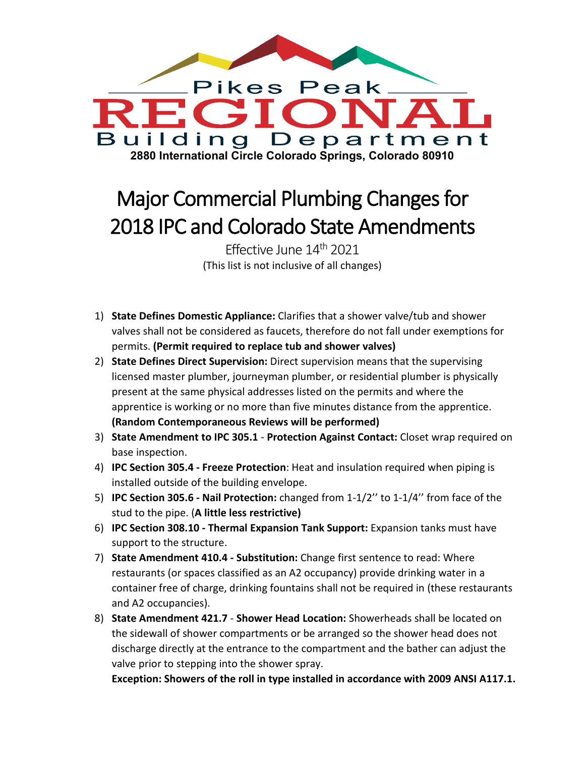

## Major Commercial Plumbing Changes for 2018 IPC and Colorado State Amendments

Effective June 14th 2021 (This list is not inclusive of all changes)

- 1) **State Defines Domestic Appliance:** Clarifies that a shower valve/tub and shower valves shall not be considered as faucets, therefore do not fall under exemptions for permits. **(Permit required to replace tub and shower valves)**
- 2) **State Defines Direct Supervision:** Direct supervision means that the supervising licensed master plumber, journeyman plumber, or residential plumber is physically present at the same physical addresses listed on the permits and where the apprentice is working or no more than five minutes distance from the apprentice. **(Random Contemporaneous Reviews will be performed)**
- 3) **State Amendment to IPC 305.1 Protection Against Contact:** Closet wrap required on base inspection.
- 4) **IPC Section 305.4 - Freeze Protection**: Heat and insulation required when piping is installed outside of the building envelope.
- 5) **IPC Section 305.6 - Nail Protection:** changed from 1-1/2'' to 1-1/4'' from face of the stud to the pipe. (**A little less restrictive)**
- 6) **IPC Section 308.10 - Thermal Expansion Tank Support:** Expansion tanks must have support to the structure.
- 7) **State Amendment 410.4 - Substitution:** Change first sentence to read: Where restaurants (or spaces classified as an A2 occupancy) provide drinking water in a container free of charge, drinking fountains shall not be required in (these restaurants and A2 occupancies).
- 8) **State Amendment 421.7 Shower Head Location:** Showerheads shall be located on the sidewall of shower compartments or be arranged so the shower head does not discharge directly at the entrance to the compartment and the bather can adjust the valve prior to stepping into the shower spray.

**Exception: Showers of the roll in type installed in accordance with 2009 ANSI A117.1.**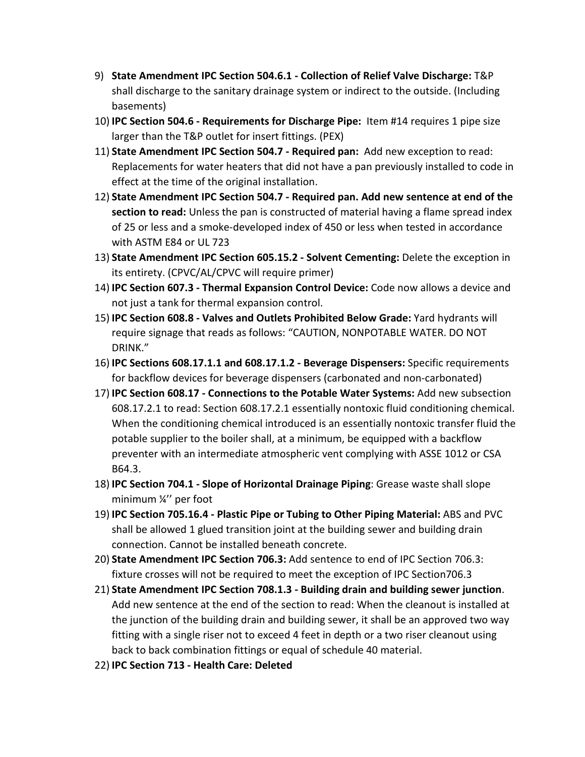- 9) **State Amendment IPC Section 504.6.1 - Collection of Relief Valve Discharge:** T&P shall discharge to the sanitary drainage system or indirect to the outside. (Including basements)
- 10) **IPC Section 504.6 - Requirements for Discharge Pipe:** Item #14 requires 1 pipe size larger than the T&P outlet for insert fittings. (PEX)
- 11) **State Amendment IPC Section 504.7 - Required pan:** Add new exception to read: Replacements for water heaters that did not have a pan previously installed to code in effect at the time of the original installation.
- 12) **State Amendment IPC Section 504.7 - Required pan. Add new sentence at end of the section to read:** Unless the pan is constructed of material having a flame spread index of 25 or less and a smoke-developed index of 450 or less when tested in accordance with ASTM E84 or UL 723
- 13) **State Amendment IPC Section 605.15.2 - Solvent Cementing:** Delete the exception in its entirety. (CPVC/AL/CPVC will require primer)
- 14) **IPC Section 607.3 - Thermal Expansion Control Device:** Code now allows a device and not just a tank for thermal expansion control.
- 15) **IPC Section 608.8 - Valves and Outlets Prohibited Below Grade:** Yard hydrants will require signage that reads as follows: "CAUTION, NONPOTABLE WATER. DO NOT DRINK."
- 16) **IPC Sections 608.17.1.1 and 608.17.1.2 - Beverage Dispensers:** Specific requirements for backflow devices for beverage dispensers (carbonated and non-carbonated)
- 17) **IPC Section 608.17 - Connections to the Potable Water Systems:** Add new subsection 608.17.2.1 to read: Section 608.17.2.1 essentially nontoxic fluid conditioning chemical. When the conditioning chemical introduced is an essentially nontoxic transfer fluid the potable supplier to the boiler shall, at a minimum, be equipped with a backflow preventer with an intermediate atmospheric vent complying with ASSE 1012 or CSA B64.3.
- 18) **IPC Section 704.1 - Slope of Horizontal Drainage Piping**: Grease waste shall slope minimum ¼'' per foot
- 19) **IPC Section 705.16.4 - Plastic Pipe or Tubing to Other Piping Material:** ABS and PVC shall be allowed 1 glued transition joint at the building sewer and building drain connection. Cannot be installed beneath concrete.
- 20) **State Amendment IPC Section 706.3:** Add sentence to end of IPC Section 706.3: fixture crosses will not be required to meet the exception of IPC Section706.3
- 21) **State Amendment IPC Section 708.1.3 - Building drain and building sewer junction**. Add new sentence at the end of the section to read: When the cleanout is installed at the junction of the building drain and building sewer, it shall be an approved two way fitting with a single riser not to exceed 4 feet in depth or a two riser cleanout using back to back combination fittings or equal of schedule 40 material.
- 22) **IPC Section 713 - Health Care: Deleted**